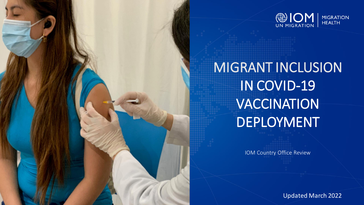

MIGRANT INCLUSION IN COVID-19 VACCINATION DEPLOYMENT

IOM Country Office Review

Updated March 2022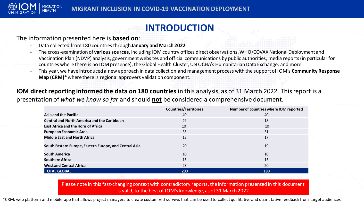

# **INTRODUCTION**

#### The information presented here is **based on**:

- Data collected from 180 countries through **January and March 2022**
- The cross-examination of **varioussources,** including IOM country offices direct observations, WHO/COVAX National Deployment and Vaccination Plan (NDVP) analysis, government websites and official communications by public authorities, media reports (in particular for countries where there is no IOM presence), the Global Health Cluster, UN OCHA's Humanitarian Data Exchange, and more.
- This year, we have introduced a new approach in data collection and management process with the support of IOM's **Community Response Map (CRM)\*** where there is regional approvers validation component.

#### **IOM direct reporting informed the data on 180 countries** in this analysis, as of 31 March 2022. This report is a

presentation of *what we know so far* and should **not** be considered a comprehensive document.

|                                                        | <b>Countries/Territories</b> | Number of countries where IOM reported |
|--------------------------------------------------------|------------------------------|----------------------------------------|
| <b>Asia and the Pacific</b>                            | 40                           | 40                                     |
| <b>Central and North America and the Caribbean</b>     | 29                           | 18                                     |
| <b>East Africa and the Horn of Africa</b>              | 10                           | 10                                     |
| <b>European Economic Area</b>                          | 35                           | 31                                     |
| <b>Middle East and North Africa</b>                    | 18                           | 17                                     |
| South Eastern Europe, Eastern Europe, and Central Asia | 20                           | 19                                     |
| <b>South America</b>                                   | 10                           | 10                                     |
| <b>Southern Africa</b>                                 | 15                           | 15                                     |
| <b>West and Central Africa</b>                         | 23                           | 20                                     |
| <b>TOTAL GLOBAL</b>                                    | 200                          | 180                                    |

Please note in this fast-changing context with contradictory reports, the information presented in this document is valid, to the best of IOM's knowledge, as of 31 March 2022

\*CRM: web platform and mobile app that allows project managers to create customized surveys that can be used to collect qualitative and quantitative feedback from target audiences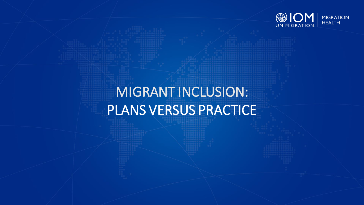

# MIGRANT INCLUSION: PLANS VERSUS PRACTICE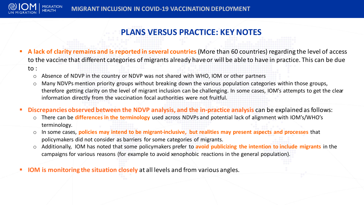

# **PLANS VERSUS PRACTICE: KEY NOTES**

- A lack of clarity remains and is reported in several countries (More than 60 countries) regarding the level of access to the vaccine that different categories of migrants already have or will be able to have in practice. This can be due to :
	- o Absence of NDVP in the country or NDVP was not shared with WHO, IOM or other partners
	- o Many NDVPs mention priority groups without breaking down the various population categories within those groups, therefore getting clarity on the level of migrant inclusion can be challenging. In some cases, IOM's attempts to get the clear information directly from the vaccination focal authorities were not fruitful.
- **Discrepancies observed between the NDVP analysis, and the in-practice analysis** can be explained as follows:
	- o There can be **differences in the terminology** used across NDVPs and potential lack of alignment with IOM's/WHO's terminology.
	- In some cases, **policies may intend to be migrant-inclusive, but realities may present aspects and processes** that policymakers did not consider as barriers for some categories of migrants.
	- o Additionally, IOM has noted that some policymakers prefer to **avoid publicizing the intention to include migrants** in the campaigns for various reasons (for example to avoid xenophobic reactions in the general population).
- **IOM is monitoring the situation closely** at all levels and from various angles.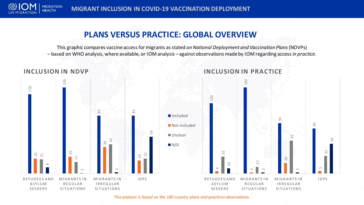

# **PLANS VERSUS PRACTICE: GLOBAL OVERVIEW**

This graphic compares vaccine access for migrants as stated *on National Deployment and Vaccination Plans* (NDVPs) – based on WHO analysis, where available, or IOM analysis – against observations made by IOM regarding access *in practice.* 

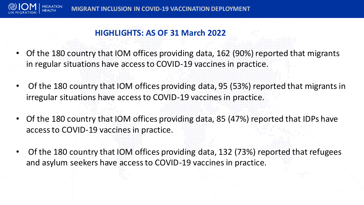

# **HIGHLIGHTS: AS OF 31 March 2022**

- Of the 180 country that IOM offices providing data, 162 (90%) reported that migrants in regular situations have access to COVID-19 vaccines in practice.
- Of the 180 country that IOM offices providing data, 95 (53%) reported that migrants in irregular situations have access to COVID-19 vaccines in practice.
- Of the 180 country that IOM offices providing data, 85 (47%) reported that IDPs have access to COVID-19 vaccines in practice.
- Of the 180 country that IOM offices providing data, 132 (73%) reported that refugees and asylum seekers have access to COVID-19 vaccines in practice.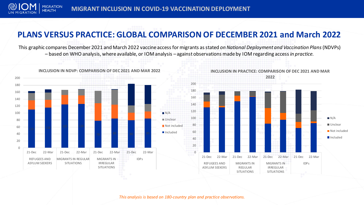

# **PLANS VERSUS PRACTICE: GLOBAL COMPARISON OF DECEMBER 2021 and March 2022**

This graphic compares December 2021 and March 2022 vaccine access for migrants as stated *on National Deployment and Vaccination Plans* (NDVPs) – based on WHO analysis, where available, or IOM analysis – against observations made by IOM regarding access *in practice.* 





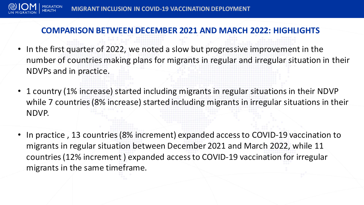

#### **COMPARISON BETWEEN DECEMBER 2021 AND MARCH 2022: HIGHLIGHTS**

- In the first quarter of 2022, we noted a slow but progressive improvement in the number of countries making plans for migrants in regular and irregular situation in their NDVPs and in practice.
- 1 country (1% increase) started including migrants in regular situations in their NDVP while 7 countries (8% increase) started including migrants in irregular situations in their NDVP.
- In practice , 13 countries (8% increment) expanded access to COVID-19 vaccination to migrants in regular situation between December 2021 and March 2022, while 11 countries (12% increment ) expanded access to COVID-19 vaccination for irregular migrants in the same timeframe.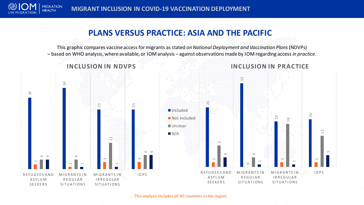

#### **PLANS VERSUS PRACTICE: ASIA AND THE PACIFIC**

This graphic compares vaccine access for migrants as stated *on National Deployment and Vaccination Plans* (NDVPs) – based on WHO analysis, where available, or IOM analysis – against observations made by IOM regarding access *in practice.* 

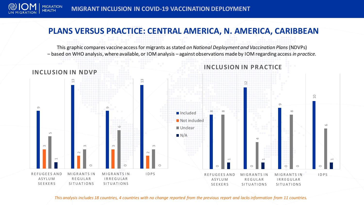

#### **PLANS VERSUS PRACTICE: CENTRAL AMERICA, N. AMERICA, CARIBBEAN**

This graphic compares vaccine access for migrants as stated *on National Deployment and Vaccination Plans* (NDVPs) – based on WHO analysis, where available, or IOM analysis – against observations made by IOM regarding access *in practice.* 



*This analysis includes 18 countries, 4 countries with no change reported from the previous report and lacks information from 11 countries.*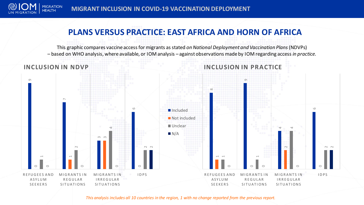

#### **PLANS VERSUS PRACTICE: EAST AFRICA AND HORN OF AFRICA**

This graphic compares vaccine access for migrants as stated *on National Deployment and Vaccination Plans* (NDVPs) – based on WHO analysis, where available, or IOM analysis – against observations made by IOM regarding access *in practice.* 



*This analysis includes all 10 countries in the region, 1 with no change reported from the previous report.*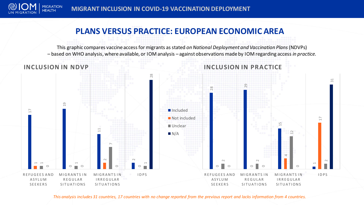

#### **PLANS VERSUS PRACTICE: EUROPEAN ECONOMIC AREA**

This graphic compares vaccine access for migrants as stated *on National Deployment and Vaccination Plans* (NDVPs) – based on WHO analysis, where available, or IOM analysis – against observations made by IOM regarding access *in practice.* 



*This analysis includes 31 countries, 17 countries with no change reported from the previous report and lacks information from 4 countries.*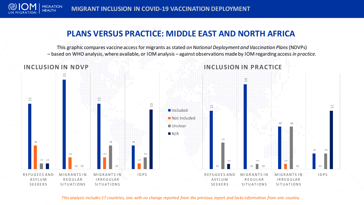

## **PLANS VERSUS PRACTICE: MIDDLE EAST AND NORTH AFRICA**

This graphic compares vaccine access for migrants as stated *on National Deployment and Vaccination Plans* (NDVPs) – based on WHO analysis, where available, or IOM analysis – against observations made by IOM regarding access *in practice.* 



*This analysis includes 17 countries, one with no change reported from the previous report and lacks information from one country.*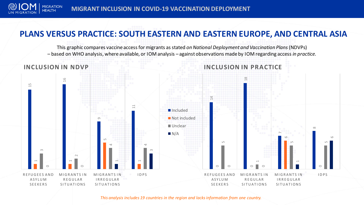

#### **PLANS VERSUS PRACTICE: SOUTH EASTERN AND EASTERN EUROPE, AND CENTRAL ASIA**

This graphic compares vaccine access for migrants as stated *on National Deployment and Vaccination Plans* (NDVPs) – based on WHO analysis, where available, or IOM analysis – against observations made by IOM regarding access *in practice.* 



*This analysis includes 19 countries in the region and lacks information from one country.*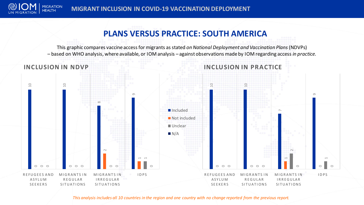

## **PLANS VERSUS PRACTICE: SOUTH AMERICA**

This graphic compares vaccine access for migrants as stated *on National Deployment and Vaccination Plans* (NDVPs) – based on WHO analysis, where available, or IOM analysis – against observations made by IOM regarding access *in practice.* 



*This analysis includes all 10 countries in the region and one country with no change reported from the previous report.*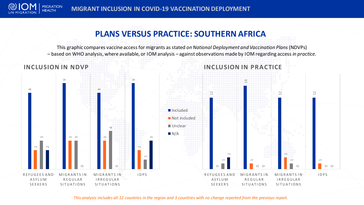

### **PLANS VERSUS PRACTICE: SOUTHERN AFRICA**

This graphic compares vaccine access for migrants as stated *on National Deployment and Vaccination Plans* (NDVPs) – based on WHO analysis, where available, or IOM analysis – against observations made by IOM regarding access *in practice.* 



*This analysis includes all 12 countries in the region and 3 countries with no change reported from the previous report.*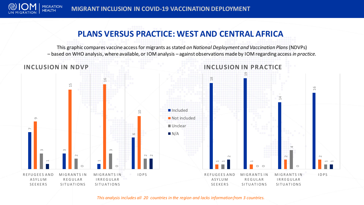

**HEALTH** 

#### **PLANS VERSUS PRACTICE: WEST AND CENTRAL AFRICA**

This graphic compares vaccine access for migrants as stated *on National Deployment and Vaccination Plans* (NDVPs) – based on WHO analysis, where available, or IOM analysis – against observations made by IOM regarding access *in practice.* 



*This analysis includes all 20 countries in the region and lacks information from 3 countries.*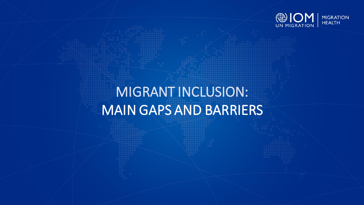

# MIGRANT INCLUSION: MAIN GAPS AND BARRIERS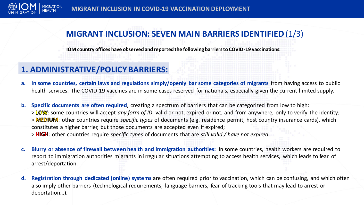

### **MIGRANT INCLUSION: SEVEN MAIN BARRIERS IDENTIFIED** (1/3)

**IOM country offices have observed and reported the following barriers to COVID-19 vaccinations:** 

#### **1. ADMINISTRATIVE/POLICY BARRIERS:**

- **a. In some countries, certain laws and regulations simply/openly bar some categories of migrants** from having access to public health services. The COVID-19 vaccines are in some cases reserved for nationals, especially given the current limited supply.
- **b. Specific documents are often required**, creating a spectrum of barriers that can be categorized from low to high: > LOW: some countries will accept *any form of ID*, valid or not, expired or not, and from anywhere, only to verify the identity; > **MEDIUM**: other countries require *specific types* of documents (e.g. residence permit, host country insurance cards), which constitutes a higher barrier, but those documents are accepted even if expired; > **HIGH**: other countries require *specific types* of documents that are *still valid / have not expired*.
- **c. Blurry or absence of firewall between health and immigration authorities:** In some countries, health workers are required to report to immigration authorities migrants in irregular situations attempting to access health services, which leads to fear of arrest/deportation.
- **d. Registration through dedicated (online) systems** are often required prior to vaccination, which can be confusing, and which often also imply other barriers (technological requirements, language barriers, fear of tracking tools that may lead to arrest or deportation…).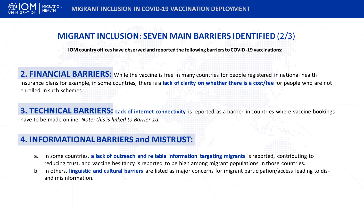

### **MIGRANT INCLUSION: SEVEN MAIN BARRIERS IDENTIFIED** (2/3)

**IOM country offices have observed and reported the following barriers to COVID-19 vaccinations:** 

**2. FINANCIAL BARRIERS:** While the vaccine is free in many countries for people registered in national health insurance plans for example, in some countries, there is a **lack of clarity on whether there is a cost/fee** for people who are not enrolled in such schemes.

**3. TECHNICAL BARRIERS: Lack of internet connectivity** is reported as a barrier in countries where vaccine bookings have to be made online. *Note: this is linked to Barrier 1d.*

#### **4. INFORMATIONAL BARRIERS and MISTRUST:**

- a. In some countries, **a lack of outreach and reliable information targeting migrants** is reported, contributing to reducing trust, and vaccine hesitancy is reported to be high among migrant populations in those countries.
- b. In others, **linguistic and cultural barriers** are listed as major concerns for migrant participation/access leading to disand misinformation.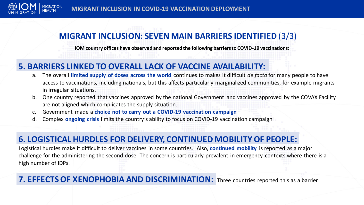

#### **MIGRANT INCLUSION: SEVEN MAIN BARRIERS IDENTIFIED** (3/3)

**IOM country offices have observed and reported the following barriers to COVID-19 vaccinations:** 

#### **5. BARRIERS LINKED TO OVERALL LACK OF VACCINE AVAILABILITY:**

- a. The overall **limited supply of doses across the world** continues to makes it difficult *de facto* for many people to have access to vaccinations, including nationals, but this affects particularly marginalized communities, for example migrants in irregular situations.
- b. One country reported that vaccines approved by the national Government and vaccines approved by the COVAX Facility are not aligned which complicates the supply situation.
- c. Government made a **choice not to carry out a COVID-19 vaccination campaign**
- d. Complex **ongoing crisis** limits the country's ability to focus on COVID-19 vaccination campaign

#### **6. LOGISTICAL HURDLES FOR DELIVERY, CONTINUED MOBILITY OF PEOPLE:**

Logistical hurdles make it difficult to deliver vaccines in some countries. Also, **continued mobility** is reported as a major challenge for the administering the second dose. The concern is particularly prevalent in emergency contexts where there is a high number of IDPs.

#### **7. EFFECTS OF XENOPHOBIA AND DISCRIMINATION:** Three countries reported this as a barrier.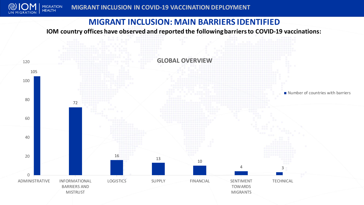

#### **MIGRANT INCLUSION: MAIN BARRIERS IDENTIFIED**

**IOM country offices have observed and reported the following barriers to COVID-19 vaccinations:** 

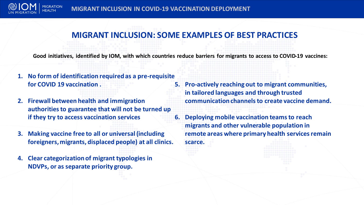

### **MIGRANT INCLUSION: SOME EXAMPLES OF BEST PRACTICES**

**Good initiatives, identified by IOM, with which countries reduce barriers for migrants to access to COVID-19 vaccines:**

- **1. No form of identification required as a pre-requisite for COVID 19 vaccination .**
- **2. Firewall between health and immigration authorities to guarantee that will not be turned up if they try to access vaccination services**
- **3. Making vaccine free to all or universal (including foreigners, migrants, displaced people) at all clinics.**
- **4. Clear categorization of migrant typologies in NDVPs, or as separate priority group.**
- **5. Pro-actively reaching out to migrant communities, in tailored languages and through trusted communication channels to create vaccine demand.**
- **6. Deploying mobile vaccination teams to reach migrants and other vulnerable population in remote areas where primary health services remain scarce.**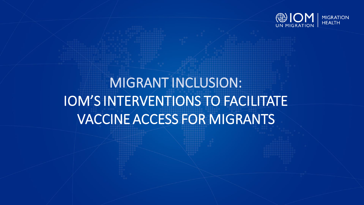

# MIGRANT INCLUSION: IOM'S INTERVENTIONS TO FACILITATE VACCINE ACCESS FOR MIGRANTS